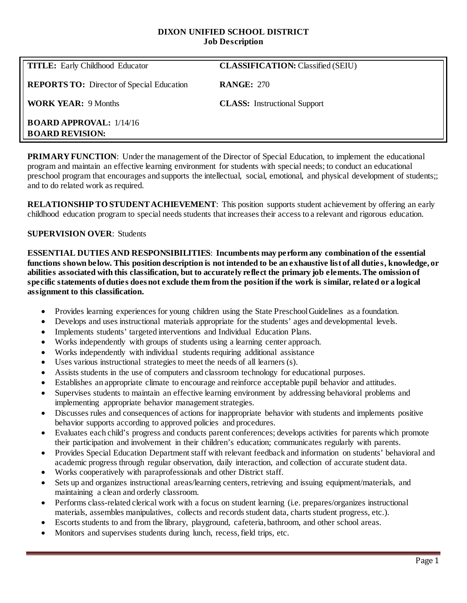#### **DIXON UNIFIED SCHOOL DISTRICT Job Description**

| <b>TITLE:</b> Early Childhood Educator                   | <b>CLASSIFICATION: Classified (SEIU)</b> |
|----------------------------------------------------------|------------------------------------------|
| <b>REPORTS TO:</b> Director of Special Education         | <b>RANGE: 270</b>                        |
| <b>WORK YEAR: 9 Months</b>                               | <b>CLASS:</b> Instructional Support      |
| <b>BOARD APPROVAL:</b> 1/14/16<br><b>BOARD REVISION:</b> |                                          |

**PRIMARY FUNCTION:** Under the management of the Director of Special Education, to implement the educational program and maintain an effective learning environment for students with special needs; to conduct an educational preschool program that encourages and supports the intellectual, social, emotional, and physical development of students;; and to do related work as required.

**RELATIONSHIP TO STUDENT ACHIEVEMENT**: This position supports student achievement by offering an early childhood education program to special needs students that increases their access to a relevant and rigorous education.

## **SUPERVISION OVER**: Students

**ESSENTIAL DUTIES AND RESPONSIBILITIES**: **Incumbents may perform any combination of the essential functions shown below. This position description is not intended to be an exhaustive list of all duties, knowledge, or abilities associated with this classification, but to accurately reflect the primary job elements. The omission of specific statements of duties does not exclude them from the position if the work is similar, related or a logical assignment to this classification.**

- Provides learning experiences for young children using the State Preschool Guidelines as a foundation.
- Develops and uses instructional materials appropriate for the students' ages and developmental levels.
- Implements students' targeted interventions and Individual Education Plans.
- Works independently with groups of students using a learning center approach.
- Works independently with individual students requiring additional assistance
- Uses various instructional strategies to meet the needs of all learners (s).
- Assists students in the use of computers and classroom technology for educational purposes.
- Establishes an appropriate climate to encourage and reinforce acceptable pupil behavior and attitudes.
- Supervises students to maintain an effective learning environment by addressing behavioral problems and implementing appropriate behavior management strategies.
- Discusses rules and consequences of actions for inappropriate behavior with students and implements positive behavior supports according to approved policies and procedures.
- Evaluates each child's progress and conducts parent conferences; develops activities for parents which promote their participation and involvement in their children's education; communicates regularly with parents.
- Provides Special Education Department staff with relevant feedback and information on students' behavioral and academic progress through regular observation, daily interaction, and collection of accurate student data.
- Works cooperatively with paraprofessionals and other District staff.
- Sets up and organizes instructional areas/learning centers, retrieving and issuing equipment/materials, and maintaining a clean and orderly classroom.
- Performs class-related clerical work with a focus on student learning (i.e. prepares/organizes instructional materials, assembles manipulatives, collects and records student data, charts student progress, etc.).
- Escorts students to and from the library, playground, cafeteria, bathroom, and other school areas.
- Monitors and supervises students during lunch, recess, field trips, etc.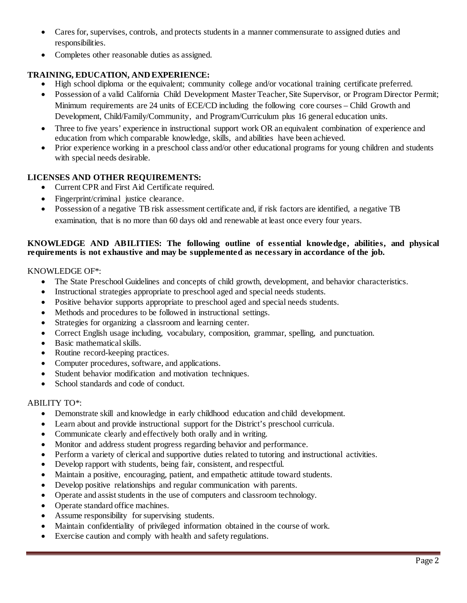- Cares for, supervises, controls, and protects students in a manner commensurate to assigned duties and responsibilities.
- Completes other reasonable duties as assigned.

# **TRAINING, EDUCATION, AND EXPERIENCE:**

- High school diploma or the equivalent; community college and/or vocational training certificate preferred.
- Possession of a valid California Child Development Master Teacher, Site Supervisor, or Program Director Permit; Minimum requirements are 24 units of ECE/CD including the following core courses – Child Growth and Development, Child/Family/Community, and Program/Curriculum plus 16 general education units.
- Three to five years' experience in instructional support work OR an equivalent combination of experience and education from which comparable knowledge, skills, and abilities have been achieved.
- Prior experience working in a preschool class and/or other educational programs for young children and students with special needs desirable.

# **LICENSES AND OTHER REQUIREMENTS:**

- Current CPR and First Aid Certificate required.
- Fingerprint/criminal justice clearance.
- Possession of a negative TB risk assessment certificate and, if risk factors are identified, a negative TB examination, that is no more than 60 days old and renewable at least once every four years.

# **KNOWLEDGE AND ABILITIES: The following outline of essential knowledge, abilities, and physical requirements is not exhaustive and may be supplemented as necessary in accordance of the job.**

# KNOWLEDGE OF\*:

- The State Preschool Guidelines and concepts of child growth, development, and behavior characteristics.
- Instructional strategies appropriate to preschool aged and special needs students.
- Positive behavior supports appropriate to preschool aged and special needs students.
- Methods and procedures to be followed in instructional settings.
- Strategies for organizing a classroom and learning center.
- Correct English usage including, vocabulary, composition, grammar, spelling, and punctuation.
- Basic mathematical skills.
- Routine record-keeping practices.
- Computer procedures, software, and applications.
- Student behavior modification and motivation techniques.
- School standards and code of conduct.

#### ABILITY TO\*:

- Demonstrate skill and knowledge in early childhood education and child development.
- Learn about and provide instructional support for the District's preschool curricula.
- Communicate clearly and effectively both orally and in writing.
- Monitor and address student progress regarding behavior and performance.
- Perform a variety of clerical and supportive duties related to tutoring and instructional activities.
- Develop rapport with students, being fair, consistent, and respectful.
- Maintain a positive, encouraging, patient, and empathetic attitude toward students.
- Develop positive relationships and regular communication with parents.
- Operate and assist students in the use of computers and classroom technology.
- Operate standard office machines.
- Assume responsibility for supervising students.
- Maintain confidentiality of privileged information obtained in the course of work.
- Exercise caution and comply with health and safety regulations.